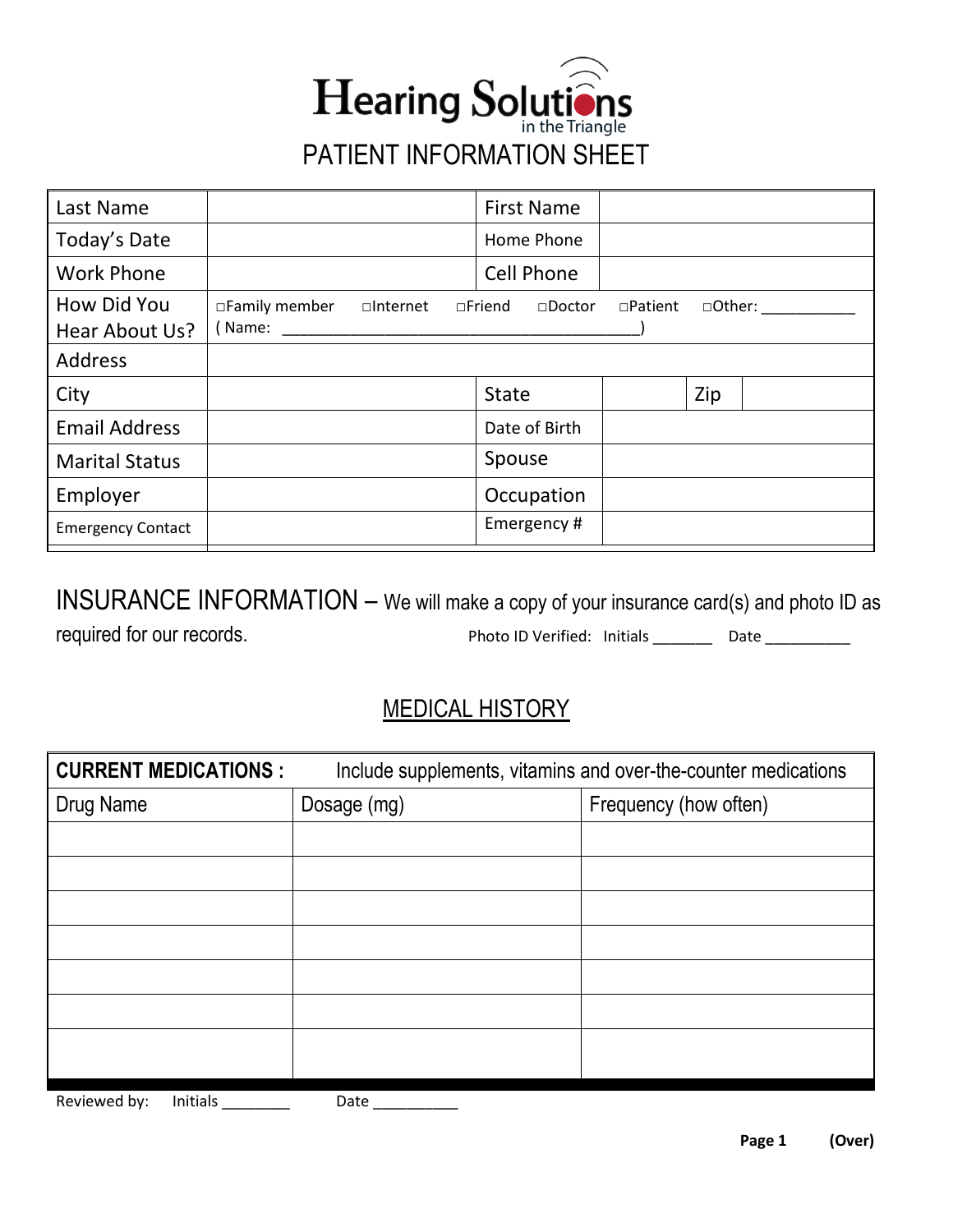

| Last Name                     |                          |                    | <b>First Name</b>                 |                |     |         |
|-------------------------------|--------------------------|--------------------|-----------------------------------|----------------|-----|---------|
| Today's Date                  |                          |                    | Home Phone                        |                |     |         |
| <b>Work Phone</b>             |                          |                    | <b>Cell Phone</b>                 |                |     |         |
| How Did You<br>Hear About Us? | □Family member<br>(Name: | $\square$ Internet | $\square$ Friend<br>$\Box$ Doctor | $\Box$ Patient |     | □Other: |
| Address                       |                          |                    |                                   |                |     |         |
| City                          |                          |                    | <b>State</b>                      |                | Zip |         |
| <b>Email Address</b>          |                          |                    | Date of Birth                     |                |     |         |
| <b>Marital Status</b>         |                          |                    | Spouse                            |                |     |         |
| Employer                      |                          |                    | Occupation                        |                |     |         |
| <b>Emergency Contact</b>      |                          |                    | Emergency#                        |                |     |         |

INSURANCE INFORMATION – We will make a copy of your insurance card(s) and photo ID as required for our records. The example of the Photo ID Verified: Initials \_\_\_\_\_\_\_\_ Date \_\_\_\_\_\_\_\_\_\_\_

## MEDICAL HISTORY

| <b>CURRENT MEDICATIONS :</b> | Include supplements, vitamins and over-the-counter medications |                       |  |  |  |
|------------------------------|----------------------------------------------------------------|-----------------------|--|--|--|
| Drug Name                    | Dosage (mg)                                                    | Frequency (how often) |  |  |  |
|                              |                                                                |                       |  |  |  |
|                              |                                                                |                       |  |  |  |
|                              |                                                                |                       |  |  |  |
|                              |                                                                |                       |  |  |  |
|                              |                                                                |                       |  |  |  |
|                              |                                                                |                       |  |  |  |
|                              |                                                                |                       |  |  |  |
|                              |                                                                |                       |  |  |  |

Reviewed by: Initials \_\_\_\_\_\_\_\_\_ Date \_\_\_\_\_\_\_\_\_